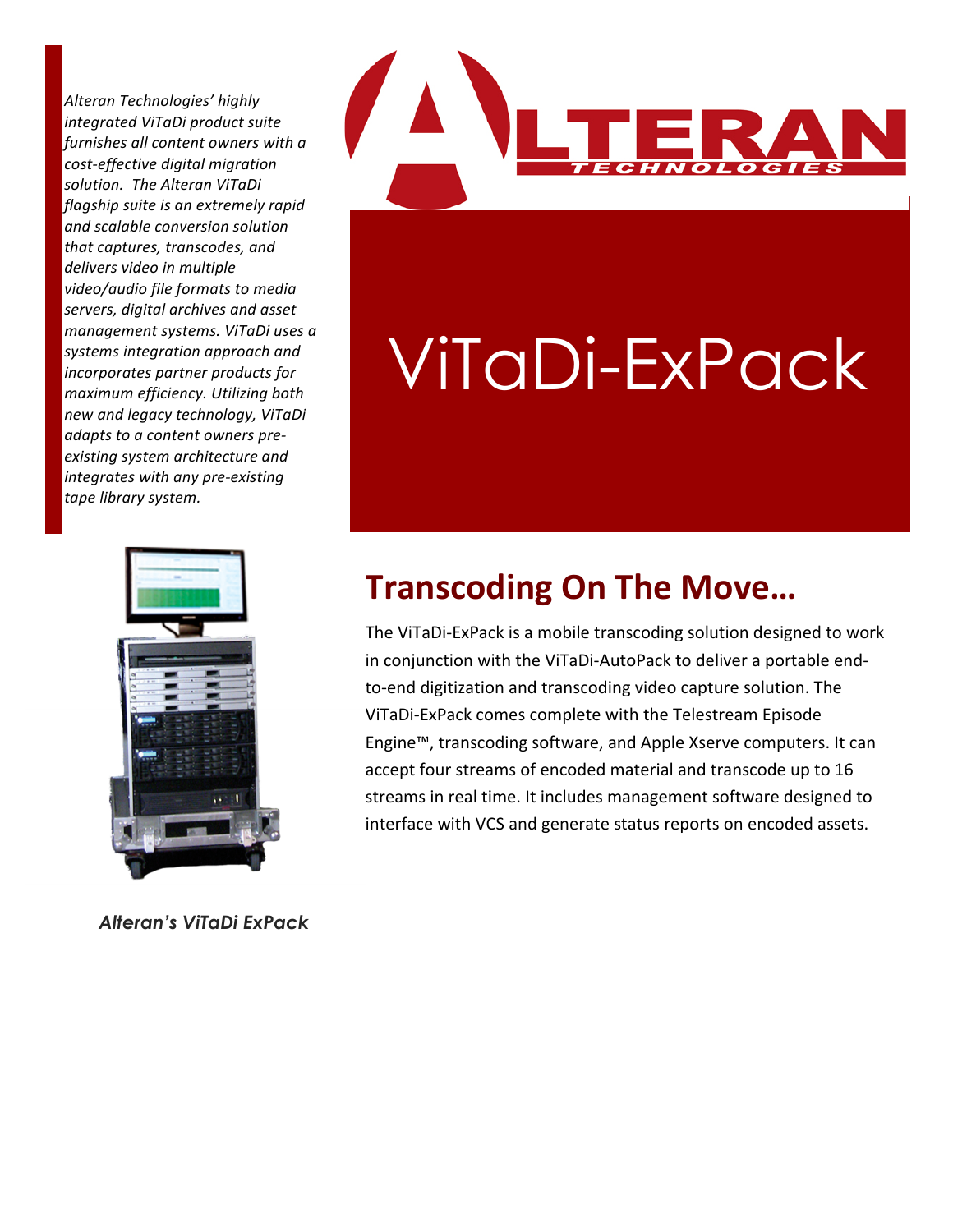Alteran Technologies' highly *integrated ViTaDi product suite furnishes all content owners with a*  $cost\text{-}effective\ digital\ migration$  $solution.$  The Alteran ViTaDi *flagship suite is an extremely rapid and(scalable(conversion(solution(*  $that$ *captures, transcodes, and*  $delivers$  video in multiple *video/audio file formats to media* servers, digital archives and asset *management systems. ViTaDi uses a* systems integration approach and *incorporates partner products for*  $maximum$  efficiency. Utilizing both *new(and(legacy(technology,(ViTaDi( adapts to a content owners pre* $e$ xisting system architecture and *integrates with any pre-existing* tape library system.



*Alteran's ViTaDi ExPack*



## ViTaDi-ExPack

## **Transcoding+On+The+Move…**

The ViTaDi-ExPack is a mobile transcoding solution designed to work in conjunction with the ViTaDi-AutoPack to deliver a portable endto-end digitization and transcoding video capture solution. The ViTaDi-ExPack comes complete with the Telestream Episode Engine™, transcoding software, and Apple Xserve computers. It can accept four streams of encoded material and transcode up to 16 streams in real time. It includes management software designed to interface with VCS and generate status reports on encoded assets.